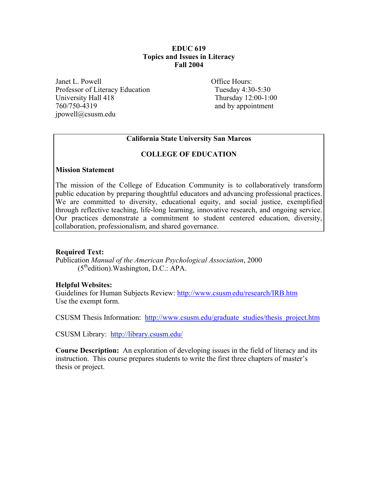# **EDUC 619 Topics and Issues in Literacy Fall 2004**

Janet L. Powell **Office Hours:** Professor of Literacy Education Tuesday 4:30-5:30 University Hall 418 Thursday 12:00-1:00 760/750-4319 and by appointment jpowell@csusm.edu

# **California State University San Marcos**

# **COLLEGE OF EDUCATION**

#### **Mission Statement**

The mission of the College of Education Community is to collaboratively transform public education by preparing thoughtful educators and advancing professional practices. We are committed to diversity, educational equity, and social justice, exemplified through reflective teaching, life-long learning, innovative research, and ongoing service. Our practices demonstrate a commitment to student centered education, diversity, collaboration, professionalism, and shared governance.

# **Required Text:**

Publication *Manual of the American Psychological Association*, 2000  $(5<sup>th</sup>$ edition). Washington, D.C.: APA.

# **Helpful Websites:**

Guidelines for Human Subjects Review: http://www.csusm.edu/research/IRB.htm Use the exempt form.

CSUSM Thesis Information: http://www.csusm.edu/graduate\_studies/thesis\_project.htm

CSUSM Library: http://library.csusm.edu/

**Course Description:** An exploration of developing issues in the field of literacy and its instruction. This course prepares students to write the first three chapters of master's thesis or project.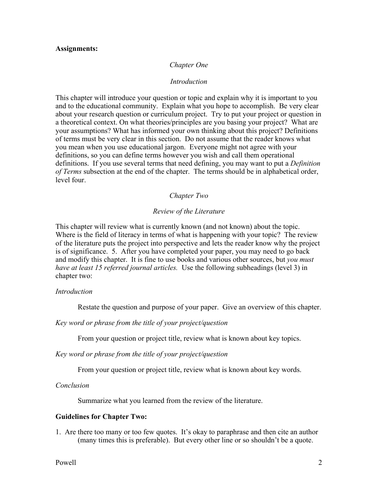#### **Assignments:**

#### *Chapter One*

#### *Introduction*

This chapter will introduce your question or topic and explain why it is important to you and to the educational community. Explain what you hope to accomplish. Be very clear about your research question or curriculum project. Try to put your project or question in a theoretical context. On what theories/principles are you basing your project? What are your assumptions? What has informed your own thinking about this project? Definitions of terms must be very clear in this section. Do not assume that the reader knows what you mean when you use educational jargon. Everyone might not agree with your definitions, so you can define terms however you wish and call them operational definitions. If you use several terms that need defining, you may want to put a *Definition of Terms* subsection at the end of the chapter. The terms should be in alphabetical order, level four.

#### *Chapter Two*

#### *Review of the Literature*

This chapter will review what is currently known (and not known) about the topic. Where is the field of literacy in terms of what is happening with your topic? The review of the literature puts the project into perspective and lets the reader know why the project is of significance. 5. After you have completed your paper, you may need to go back and modify this chapter. It is fine to use books and various other sources, but *you must have at least 15 referred journal articles.* Use the following subheadings (level 3) in chapter two:

#### *Introduction*

Restate the question and purpose of your paper. Give an overview of this chapter.

*Key word or phrase from the title of your project/question* 

From your question or project title, review what is known about key topics.

*Key word or phrase from the title of your project/question* 

From your question or project title, review what is known about key words.

*Conclusion* 

Summarize what you learned from the review of the literature.

#### **Guidelines for Chapter Two:**

1. Are there too many or too few quotes. It's okay to paraphrase and then cite an author (many times this is preferable). But every other line or so shouldn't be a quote.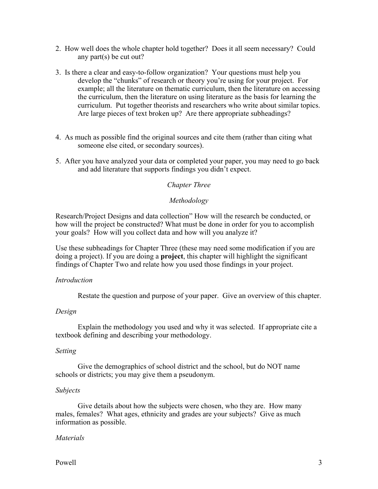- 2. How well does the whole chapter hold together? Does it all seem necessary? Could any part(s) be cut out?
- 3. Is there a clear and easy-to-follow organization? Your questions must help you develop the "chunks" of research or theory you're using for your project. For example; all the literature on thematic curriculum, then the literature on accessing the curriculum, then the literature on using literature as the basis for learning the curriculum. Put together theorists and researchers who write about similar topics. Are large pieces of text broken up? Are there appropriate subheadings?
- 4. As much as possible find the original sources and cite them (rather than citing what someone else cited, or secondary sources).
- 5. After you have analyzed your data or completed your paper, you may need to go back and add literature that supports findings you didn't expect.

#### *Chapter Three*

#### *Methodology*

Research/Project Designs and data collection" How will the research be conducted, or how will the project be constructed? What must be done in order for you to accomplish your goals? How will you collect data and how will you analyze it?

Use these subheadings for Chapter Three (these may need some modification if you are doing a project). If you are doing a **project**, this chapter will highlight the significant findings of Chapter Two and relate how you used those findings in your project.

#### *Introduction*

Restate the question and purpose of your paper. Give an overview of this chapter.

#### *Design*

Explain the methodology you used and why it was selected. If appropriate cite a textbook defining and describing your methodology.

#### *Setting*

Give the demographics of school district and the school, but do NOT name schools or districts; you may give them a pseudonym.

#### *Subjects*

Give details about how the subjects were chosen, who they are. How many males, females? What ages, ethnicity and grades are your subjects? Give as much information as possible.

# *Materials*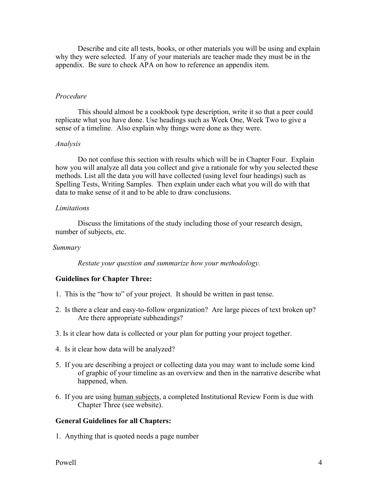Describe and cite all tests, books, or other materials you will be using and explain why they were selected. If any of your materials are teacher made they must be in the appendix. Be sure to check APA on how to reference an appendix item.

#### *Procedure*

This should almost be a cookbook type description, write it so that a peer could replicate what you have done. Use headings such as Week One, Week Two to give a sense of a timeline. Also explain why things were done as they were.

#### *Analysis*

Do not confuse this section with results which will be in Chapter Four. Explain how you will analyze all data you collect and give a rationale for why you selected these methods. List all the data you will have collected (using level four headings) such as Spelling Tests, Writing Samples. Then explain under each what you will do with that data to make sense of it and to be able to draw conclusions.

#### *Limitations*

Discuss the limitations of the study including those of your research design, number of subjects, etc.

#### *Summary*

 *Restate your question and summarize how your methodology.* 

# **Guidelines for Chapter Three:**

- 1. This is the "how to" of your project. It should be written in past tense.
- 2. Is there a clear and easy-to-follow organization? Are large pieces of text broken up? Are there appropriate subheadings?
- 3. Is it clear how data is collected or your plan for putting your project together.
- 4. Is it clear how data will be analyzed?
- 5. If you are describing a project or collecting data you may want to include some kind of graphic of your timeline as an overview and then in the narrative describe what happened, when.
- 6. If you are using human subjects, a completed Institutional Review Form is due with Chapter Three (see website).

# **General Guidelines for all Chapters:**

1. Anything that is quoted needs a page number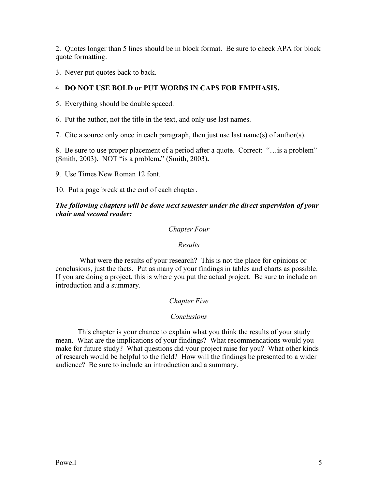2. Quotes longer than 5 lines should be in block format. Be sure to check APA for block quote formatting.

3. Never put quotes back to back.

# 4. **DO NOT USE BOLD or PUT WORDS IN CAPS FOR EMPHASIS.**

5. Everything should be double spaced.

6. Put the author, not the title in the text, and only use last names.

7. Cite a source only once in each paragraph, then just use last name(s) of author(s).

8. Be sure to use proper placement of a period after a quote. Correct: "…is a problem" (Smith, 2003)**.** NOT "is a problem**.**" (Smith, 2003)**.** 

9. Use Times New Roman 12 font.

10. Put a page break at the end of each chapter.

# *The following chapters will be done next semester under the direct supervision of your chair and second reader:*

# *Chapter Four*

# *Results*

 What were the results of your research? This is not the place for opinions or conclusions, just the facts. Put as many of your findings in tables and charts as possible. If you are doing a project, this is where you put the actual project. Be sure to include an introduction and a summary.

# *Chapter Five*

# *Conclusions*

This chapter is your chance to explain what you think the results of your study mean. What are the implications of your findings? What recommendations would you make for future study? What questions did your project raise for you? What other kinds of research would be helpful to the field? How will the findings be presented to a wider audience? Be sure to include an introduction and a summary.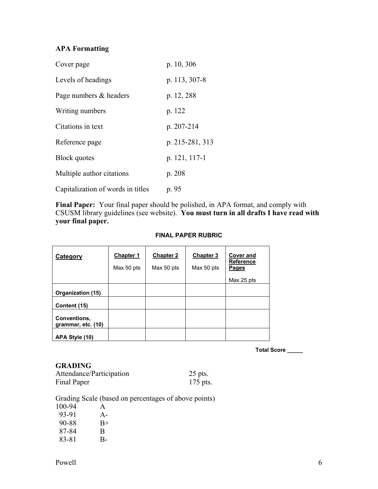# **APA Formatting**

| Cover page                        | p. 10, 306      |
|-----------------------------------|-----------------|
| Levels of headings                | p. 113, 307-8   |
| Page numbers & headers            | p. 12, 288      |
| Writing numbers                   | p. 122          |
| Citations in text                 | p. 207-214      |
| Reference page                    | p. 215-281, 313 |
| <b>Block</b> quotes               | p. 121, 117-1   |
| Multiple author citations         | p. 208          |
| Capitalization of words in titles | p. 95           |

**Final Paper:** Your final paper should be polished, in APA format, and comply with CSUSM library guidelines (see website). **You must turn in all drafts I have read with your final paper.** 

#### **FINAL PAPER RUBRIC**

| Category                           | <b>Chapter 1</b><br>Max 50 pts | <b>Chapter 2</b><br>Max 50 pts | <b>Chapter 3</b><br>Max 50 pts | <b>Cover and</b><br><b>Reference</b><br>Pages |
|------------------------------------|--------------------------------|--------------------------------|--------------------------------|-----------------------------------------------|
|                                    |                                |                                |                                | Max 25 pts                                    |
| Organization (15)                  |                                |                                |                                |                                               |
| Content (15)                       |                                |                                |                                |                                               |
| Conventions,<br>grammar, etc. (10) |                                |                                |                                |                                               |
| APA Style (10)                     |                                |                                |                                |                                               |

**Total Score \_\_\_\_\_** 

# **GRADING**

| Attendance/Participation | $25$ pts.  |
|--------------------------|------------|
| Final Paper              | $175$ pts. |

Grading Scale (based on percentages of above points)

| 100-94 | A     |
|--------|-------|
| 93-91  | $A -$ |
| 90-88  | $B+$  |
| 87-84  | B     |
| 83-81  | B-    |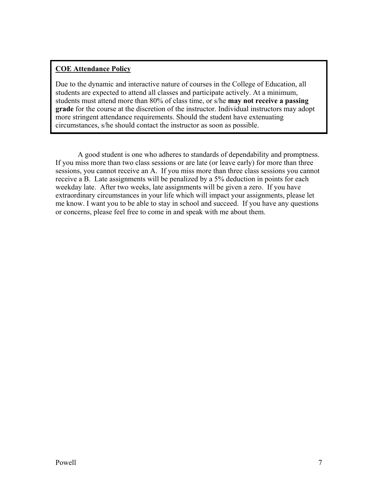# **COE Attendance Policy**

Due to the dynamic and interactive nature of courses in the College of Education, all students are expected to attend all classes and participate actively. At a minimum, students must attend more than 80% of class time, or s/he **may not receive a passing grade** for the course at the discretion of the instructor. Individual instructors may adopt more stringent attendance requirements. Should the student have extenuating circumstances, s/he should contact the instructor as soon as possible.

 A good student is one who adheres to standards of dependability and promptness. If you miss more than two class sessions or are late (or leave early) for more than three sessions, you cannot receive an A. If you miss more than three class sessions you cannot receive a B. Late assignments will be penalized by a 5% deduction in points for each weekday late. After two weeks, late assignments will be given a zero. If you have extraordinary circumstances in your life which will impact your assignments, please let me know. I want you to be able to stay in school and succeed. If you have any questions or concerns, please feel free to come in and speak with me about them.